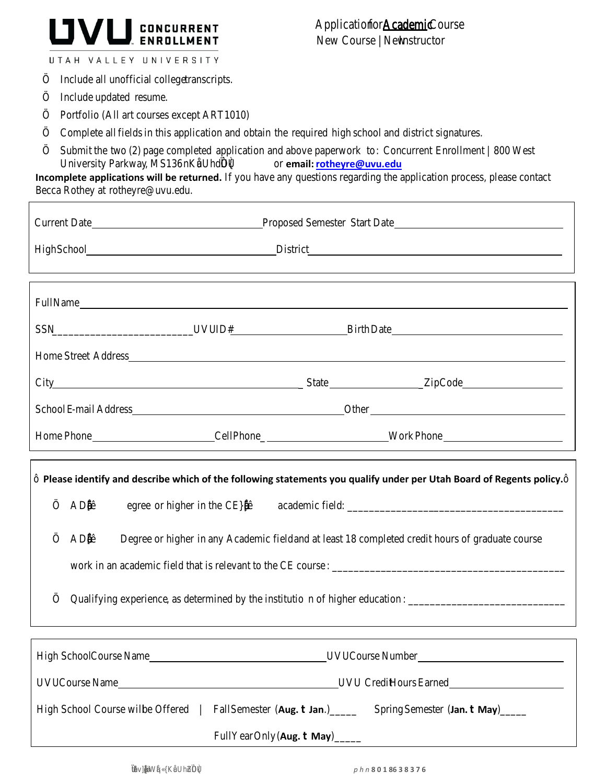

UTAH VALLEY UNIVERSITY

Include all unofficial college transcripts.

Include updated resume.

Г

 $\overline{\phantom{a}}$ 

Portfolio (All art courses except ART1010)

Complete all fields in this application and obtain the required high school and district signatures.

Submit the two (2) page completed application and above paperwork to: Concurrent Enrollment | 800West University Parkway, MS136 or email: rotheyre@uvu.edu

**Incomplete applications will be returned.** If you have any questions regarding the application process, please contact Becca Rothey a[t rotheyre@uvu.edu.](mailto:rotheyre@uvu.edu)

|                                                                                                                    | SSN__________________________________UVU ID#____________________________Birth Date____________________________ |  |
|--------------------------------------------------------------------------------------------------------------------|----------------------------------------------------------------------------------------------------------------|--|
|                                                                                                                    |                                                                                                                |  |
|                                                                                                                    |                                                                                                                |  |
|                                                                                                                    |                                                                                                                |  |
|                                                                                                                    | Home Phone ____________________________Cell Phone______________________________Work Phone ____________________ |  |
| Please identify and describe which of the following statements you qualify under per Utah Board of Regents policy. |                                                                                                                |  |
| A                                                                                                                  |                                                                                                                |  |
| A                                                                                                                  | Degree or higher in any Academic field and at least 18 completed credit hours of graduate course               |  |
|                                                                                                                    |                                                                                                                |  |
| Qualifying experience, as determined by the institution of higher education: _________________________________     |                                                                                                                |  |
|                                                                                                                    |                                                                                                                |  |
|                                                                                                                    |                                                                                                                |  |
|                                                                                                                    |                                                                                                                |  |
| High School Course will be Offered   Fall Semester (Aug. Jan.) _____                                               | Spring Semester (Jan. May)                                                                                     |  |

Full Year Only (**Aug. May**)\_\_\_\_\_